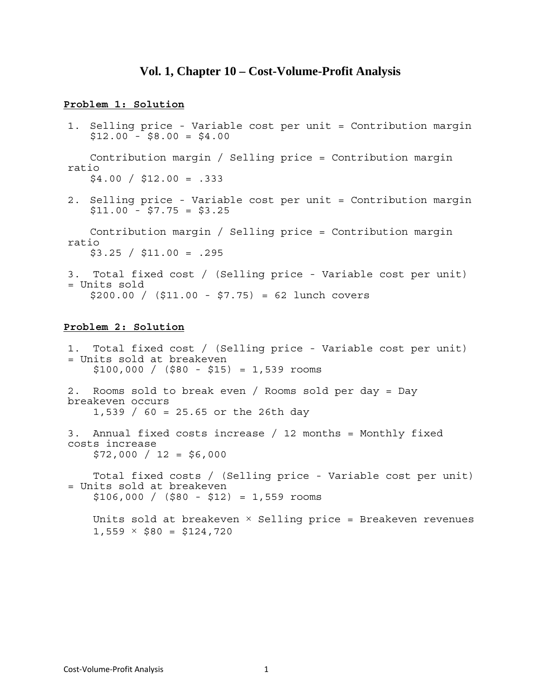# **Vol. 1, Chapter 10 – Cost-Volume-Profit Analysis**

### **Problem 1: Solution**

1. Selling price - Variable cost per unit = Contribution margin  $$12.00 - $8.00 = $4.00$ 

 Contribution margin / Selling price = Contribution margin ratio  $$4.00 / $12.00 = .333$ 

2. Selling price - Variable cost per unit = Contribution margin  $$11.00 - $7.75 = $3.25$ 

 Contribution margin / Selling price = Contribution margin ratio  $$3.25 / $11.00 = .295$ 

3. Total fixed cost / (Selling price - Variable cost per unit) = Units sold  $$200.00 / ($11.00 - $7.75) = 62$  lunch covers

#### **Problem 2: Solution**

1. Total fixed cost / (Selling price - Variable cost per unit) = Units sold at breakeven  $$100,000 / ($80 - $15) = 1,539$  rooms 2. Rooms sold to break even / Rooms sold per day = Day breakeven occurs 1,539 / 60 = 25.65 or the 26th day 3. Annual fixed costs increase / 12 months = Monthly fixed costs increase  $$72,000 / 12 = $6,000$  Total fixed costs / (Selling price - Variable cost per unit) = Units sold at breakeven  $$106,000 / (580 - $12) = 1,559$  rooms Units sold at breakeven  $\times$  Selling price = Breakeven revenues  $1,559 \times $80 = $124,720$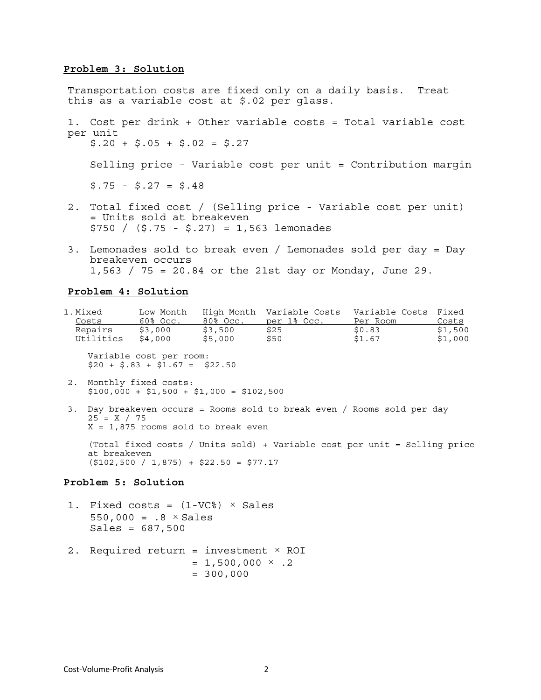### **Problem 3: Solution**

Transportation costs are fixed only on a daily basis. Treat this as a variable cost at \$.02 per glass. 1. Cost per drink + Other variable costs = Total variable cost per unit  $$.20 + $.05 + $.02 = $.27$  Selling price - Variable cost per unit = Contribution margin  $$.75 - $.27 = $.48$ 2. Total fixed cost / (Selling price - Variable cost per unit)

- = Units sold at breakeven \$750 / (\$.75 - \$.27) = 1,563 lemonades
- 3. Lemonades sold to break even / Lemonades sold per day = Day breakeven occurs 1,563 / 75 = 20.84 or the 21st day or Monday, June 29.

#### **Problem 4: Solution**

| 1.Mixed   | Low Month   |          | High Month Variable Costs | Variable Costs Fixed |         |
|-----------|-------------|----------|---------------------------|----------------------|---------|
| Costs     | $60\%$ Occ. | 80% Occ. | per 1% Occ.               | Per Room             | Costs   |
| Repairs   | \$3,000     | \$3,500  | \$25                      | \$0.83               | \$1,500 |
| Utilities | \$4,000     | \$5,000  | \$50                      | \$1.67               | \$1,000 |

 Variable cost per room:  $$20 + $.83 + $1.67 = $22.50$ 

- 2. Monthly fixed costs:  $$100,000 + $1,500 + $1,000 = $102,500$
- 3. Day breakeven occurs = Rooms sold to break even / Rooms sold per day  $25 = X / 75$  $X = 1,875$  rooms sold to break even

 (Total fixed costs / Units sold) + Variable cost per unit = Selling price at breakeven  $( $102,500 / 1,875 ) + $22.50 = $77.17$ 

## **Problem 5: Solution**

- 1. Fixed costs =  $(1-VC<sup>8</sup>) \times Sales$ 550,000 =  $.8 \times$  Sales  $Sales = 687,500$
- 2. Required return = investment  $\times$  ROI  $= 1,500,000 \times .2$  $= 300,000$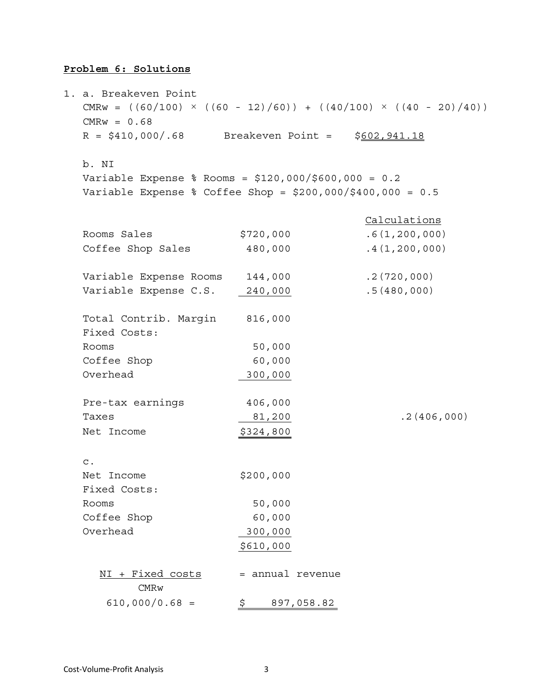# **Problem 6: Solutions**

| 1. a. Breakeven Point<br>CMRw = $((60/100) \times ((60 - 12)/60)) + ((40/100) \times ((40 - 20)/40))$<br>$CMRw = 0.68$ |                  |            |               |
|------------------------------------------------------------------------------------------------------------------------|------------------|------------|---------------|
| $R = $410,000/.68$ Breakeven Point =                                                                                   |                  |            | \$602,941.18  |
| b. NI                                                                                                                  |                  |            |               |
| Variable Expense % Rooms = $$120,000$ / $$600,000 = 0.2$                                                               |                  |            |               |
| Variable Expense % Coffee Shop = $$200,000$ /\$400,000 = 0.5                                                           |                  |            |               |
|                                                                                                                        |                  |            | Calculations  |
| Rooms Sales                                                                                                            | \$720,000        |            | .6(1,200,000) |
| Coffee Shop Sales                                                                                                      | 480,000          |            | .4(1,200,000) |
| Variable Expense Rooms                                                                                                 | 144,000          |            | .2(720,000)   |
| Variable Expense C.S.                                                                                                  | 240,000          |            | .5(480,000)   |
| Total Contrib. Margin<br>Fixed Costs:                                                                                  | 816,000          |            |               |
| Rooms                                                                                                                  | 50,000           |            |               |
| Coffee Shop                                                                                                            | 60,000           |            |               |
| Overhead                                                                                                               | 300,000          |            |               |
| Pre-tax earnings                                                                                                       | 406,000          |            |               |
| Taxes                                                                                                                  | 81,200           |            | .2(406,000)   |
| Net Income                                                                                                             | \$324,800        |            |               |
| $\mathsf{C}$ .                                                                                                         |                  |            |               |
| Net Income                                                                                                             | \$200,000        |            |               |
| Fixed Costs:                                                                                                           |                  |            |               |
| Rooms                                                                                                                  | 50,000           |            |               |
| Coffee Shop                                                                                                            | 60,000           |            |               |
| Overhead                                                                                                               | 300,000          |            |               |
|                                                                                                                        | \$610,000        |            |               |
| NI + Fixed costs<br>CMRw                                                                                               | = annual revenue |            |               |
| $610,000/0.68 =$                                                                                                       | \$.              | 897,058.82 |               |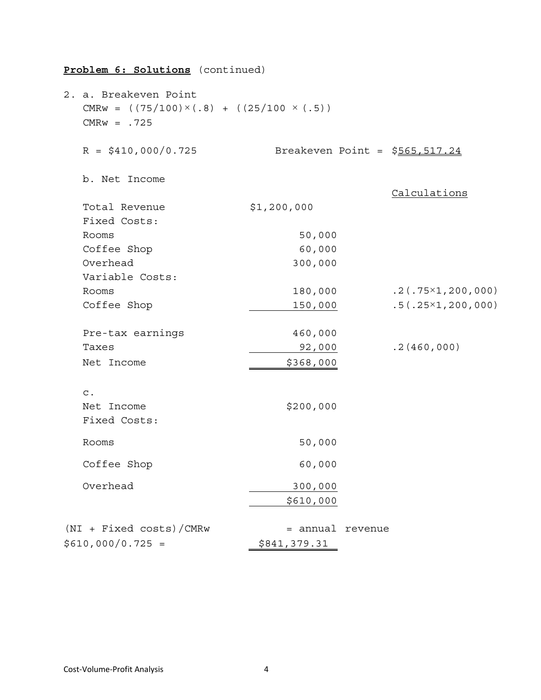| 2. a. Breakeven Point<br>CMRw = $((75/100) \times (.8) + ((25/100 \times (.5))$<br>$CMRw = .725$ |              |         |                                 |
|--------------------------------------------------------------------------------------------------|--------------|---------|---------------------------------|
| $R = $410,000/0.725$                                                                             |              |         | Breakeven Point = $$565,517.24$ |
| b. Net Income                                                                                    |              |         | Calculations                    |
| Total Revenue<br>Fixed Costs:                                                                    | \$1,200,000  |         |                                 |
| Rooms                                                                                            | 50,000       |         |                                 |
| Coffee Shop                                                                                      | 60,000       |         |                                 |
| Overhead                                                                                         | 300,000      |         |                                 |
| Variable Costs:                                                                                  |              |         |                                 |
| Rooms                                                                                            | 180,000      |         | $.2(.75 \times 1, 200, 000)$    |
| Coffee Shop                                                                                      | 150,000      |         | $.5(.25\times1, 200, 000)$      |
| Pre-tax earnings                                                                                 | 460,000      |         |                                 |
| Taxes                                                                                            | 92,000       |         | .2(460,000)                     |
| Net Income                                                                                       | \$368,000    |         |                                 |
| $\mathtt{C}$ .                                                                                   |              |         |                                 |
| Net Income                                                                                       | \$200,000    |         |                                 |
| Fixed Costs:                                                                                     |              |         |                                 |
| Rooms                                                                                            | 50,000       |         |                                 |
| Coffee Shop                                                                                      | 60,000       |         |                                 |
| Overhead                                                                                         | 300,000      |         |                                 |
|                                                                                                  | \$610,000    |         |                                 |
|                                                                                                  |              |         |                                 |
| (NI + Fixed costs)/CMRw                                                                          | = annual     | revenue |                                 |
| $$610,000/0.725 =$                                                                               | \$841,379.31 |         |                                 |

# **Problem 6: Solutions** (continued)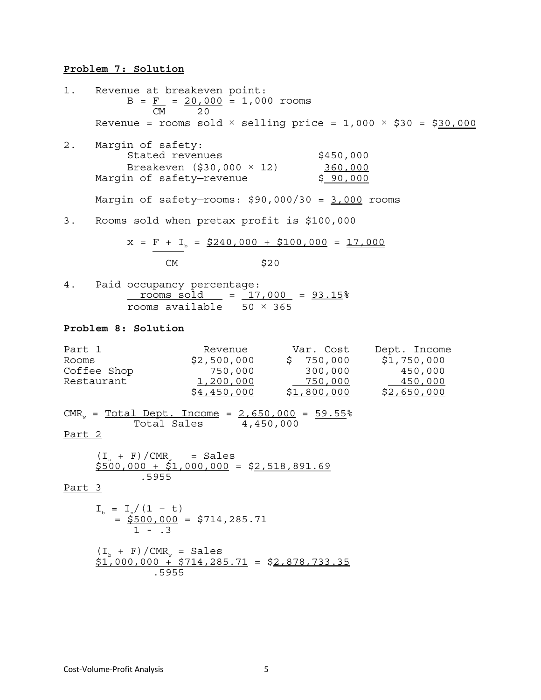## **Problem 7: Solution**

1. Revenue at breakeven point:  $B = F = 20,000 = 1,000$  rooms CM 20 Revenue = rooms sold  $\times$  selling price = 1,000  $\times$  \$30 = \$30,000 2. Margin of safety: Stated revenues \$450,000 Breakeven (\$30,000 × 12) 360,000<br>n of safety—revenue \$90,000 Margin of safety—revenue Margin of safety-rooms:  $$90,000/30 = 3,000$  rooms 3. Rooms sold when pretax profit is \$100,000  $x = F + I_b = $240,000 + $100,000 = 17,000$ <br>CM \$20 4. Paid occupancy percentage:  $r$  rooms sold  $= 17,000 = 93.15$ rooms available  $50 \times 365$ 

#### **Problem 8: Solution**

| <u>Part 1</u>                                                                    | Revenue                                             | Var. Cost                            | Dept. Income |
|----------------------------------------------------------------------------------|-----------------------------------------------------|--------------------------------------|--------------|
| Rooms                                                                            |                                                     | $$2,500,000$ $$750,000$ $$1,750,000$ |              |
| Coffee Shop                                                                      | 750,000                                             | 300,000                              | 450,000      |
| Restaurant                                                                       | <u>1,200,000</u>                                    | 750,000                              | $-450,000$   |
|                                                                                  | \$4,450,000                                         | <u>\$1,800,000</u>                   | \$2,650,000  |
| $CMR$ <sub>w</sub> = $Total Dept. Income$ = $2,650,000$ = $59.55$ $^o$<br>Part 2 | Total Sales 4,450,000                               |                                      |              |
| $(I_n + F)/CMR_w = Sales$<br>.5955                                               | $$500,000 + $1,000,000 = $2,518,891.69$             |                                      |              |
| Part 3                                                                           |                                                     |                                      |              |
| $I_{h} = I_{n}/(1 - t)$<br>$1 - .3$                                              | $=$ \$500,000 = \$714,285.71                        |                                      |              |
| $(I_n + F)/CMR_w = Sales$                                                        | $$1,000,000 + $714,285.71 = $2,878,733.35$<br>.5955 |                                      |              |
|                                                                                  |                                                     |                                      |              |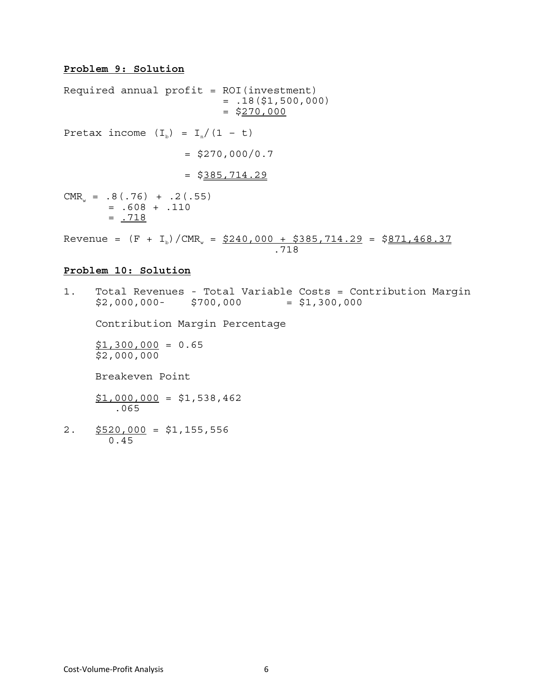## **Problem 9: Solution**

Required annual  $profit = ROI(int$  $= .18($ \$1,500,000)  $=$  \$270,000 Pretax income  $(I<sub>b</sub>) = I<sub>n</sub>/(1 - t)$  $=$  \$270,000/0.7  $=$  \$385,714.29  $CMR_w = .8(.76) + .2(.55)$  $= .608 + .110$  $= .718$ Revenue =  $(F + I_b)/CMR_s = $240,000 + $385,714.29 = $871,468.37$ .718

## **Problem 10: Solution**

1. Total Revenues - Total Variable Costs = Contribution Margin  $$2,000,000-$  \$700,000 = \$1,300,000

Contribution Margin Percentage

 $$1,300,000 = 0.65$ \$2,000,000

Breakeven Point

 $$1,000,000 = $1,538,462$ .065

2.  $$520,000 = $1,155,556$ 0.45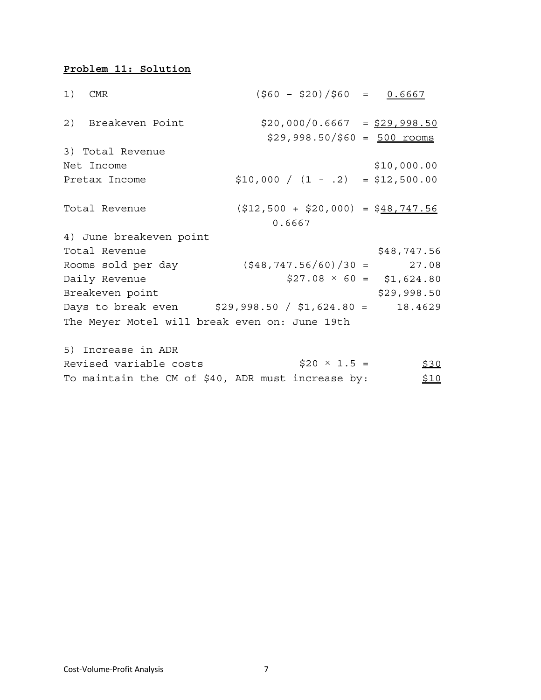# **Problem 11: Solution**

| 1) CMR                                                | $(\$60 - $20)/$60 = 0.6667$                                    |             |
|-------------------------------------------------------|----------------------------------------------------------------|-------------|
| 2) Breakeven Point                                    | $$20,000/0.6667 = $29,998.50$<br>$$29,998.50/\$60 = 500$ rooms |             |
| 3) Total Revenue                                      |                                                                |             |
| Net Income                                            |                                                                | \$10,000.00 |
| Pretax Income                                         | $$10,000 / (1 - .2) = $12,500.00$                              |             |
| Total Revenue                                         | $( $12,500 + $20,000 ] = $48,747.56$<br>0.6667                 |             |
| 4) June breakeven point                               |                                                                |             |
| Total Revenue                                         |                                                                | \$48,747.56 |
| Rooms sold per day                                    | $(\frac{27.08}{948}, 747.56/60)/30 = 27.08$                    |             |
| Daily Revenue                                         | $$27.08 \times 60 = $1,624.80$                                 |             |
| Breakeven point                                       |                                                                | \$29,998.50 |
| Days to break even $$29,998.50 / $1,624.80 = 18.4629$ |                                                                |             |
| The Meyer Motel will break even on: June 19th         |                                                                |             |
| 5) Increase in ADR                                    |                                                                |             |

| Revised variable costs | $$20 \times 1.5 =$                                | <u>\$30</u> |
|------------------------|---------------------------------------------------|-------------|
|                        | To maintain the CM of \$40, ADR must increase by: | <u>\$10</u> |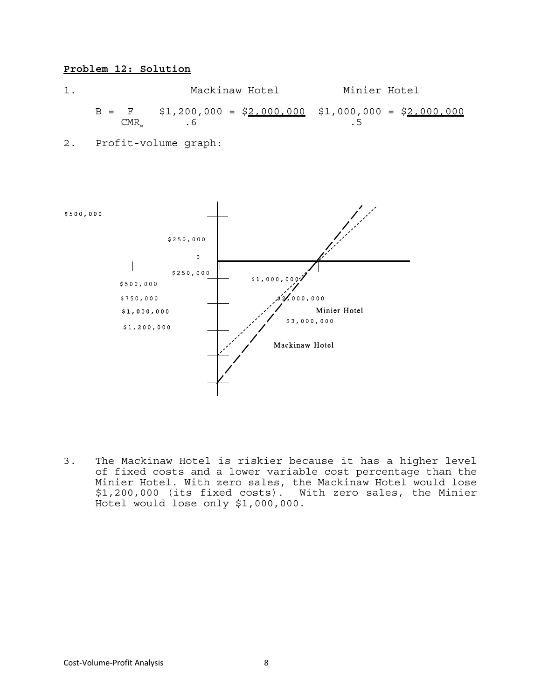## **Problem 12: Solution**

1. Mackinaw Hotel Minier Hotel  $B = \frac{F}{CMR}$   $\frac{$1,200,000}{.6} = \frac{$2,000,000}{.5}$   $\frac{$1,000,000}{.5} = \frac{$2,000,000}{.5}$  $CMR_w$  . 6 . 5

2. Profit-volume graph:



3. The Mackinaw Hotel is riskier because it has a higher level of fixed costs and a lower variable cost percentage than the Minier Hotel. With zero sales, the Mackinaw Hotel would lose \$1,200,000 (its fixed costs). With zero sales, the Minier Hotel would lose only \$1,000,000.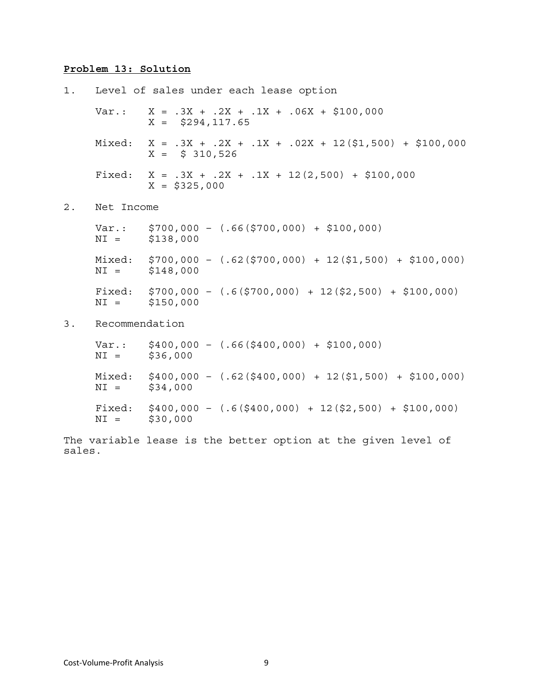# **Problem 13: Solution**

|    |                 | 1. Level of sales under each lease option                                         |
|----|-----------------|-----------------------------------------------------------------------------------|
|    |                 | Var.: $X = .3X + .2X + .1X + .06X + $100,000$<br>$X = $294, 117.65$               |
|    |                 | Mixed: $X = .3X + .2X + .1X + .02X + 12(51,500) + 5100,000$<br>$X =$ \$ 310,526   |
|    |                 | Fixed: $X = .3X + .2X + .1X + 12(2,500) + $100,000$<br>$X = $325,000$             |
| 2. | Net Income      |                                                                                   |
|    |                 | $\text{Var}:$ \$700,000 - (.66(\$700,000) + \$100,000)<br>$NI =$ \$138,000        |
|    |                 | Mixed: $$700,000 - (.62 ($700,000) + 12 ($1,500) + $100,000)$<br>$NI =$ \$148,000 |
|    |                 | Fixed: $$700,000 - (.6 ($700,000) + 12 ($2,500) + $100,000)$<br>$NI =$ \$150,000  |
| 3. | Recommendation  |                                                                                   |
|    | $NI =$ \$36,000 | $Var.:$ \$400,000 - $(.66(\$400,000) + $100,000)$                                 |
|    | $NI =$          | Mixed: $$400,000 - (.62 ($400,000) + 12 ($1,500) + $100,000)$<br>\$34,000         |
|    | $NI =$          | Fixed: $$400,000 - (.6 ($400,000) + 12 ($2,500) + $100,000)$<br>\$30,000          |

The variable lease is the better option at the given level of sales.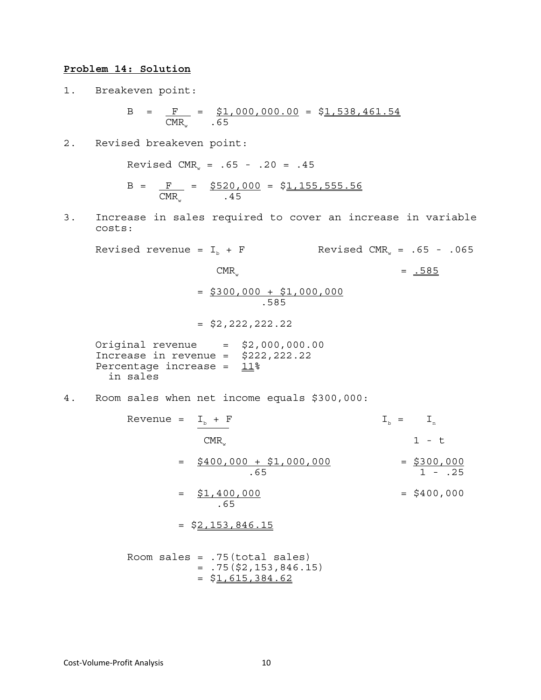### **Problem 14: Solution**

1. Breakeven point:

$$
B = \frac{F}{CMR_w} = \frac{\$1,000,000.00}{.65} = \frac{\$1,538,461.54}{.65}
$$

2. Revised breakeven point:

Revised CMR<sub>w</sub> =  $.65 - .20 = .45$ 

$$
B = \frac{F}{CMR_w} = \frac{$520,000}{.45} = \frac{$1,155,555.56}{.45}
$$

3. Increase in sales required to cover an increase in variable costs:

Revised revenue =  $I_b$  + F Revised CMR<sub>w</sub> = .65 - .065  $CMR_w = 585$  $=$  \$300,000 + \$1,000,000 .585  $=$  \$2,222,222.22 Original revenue = \$2,000,000.00 Increase in revenue = \$222,222.22 Percentage increase =  $11\%$  in sales 4. Room sales when net income equals \$300,000: Revenue =  $I_b + F$   $I_b = I_n$ 

 $CMR<sub>1</sub>$  1 - t  $=$  \$400,000 + \$1,000,000  $=$  \$300,000  $.65$  1 - .25  $=$   $\frac{$1,400,000}{2}$   $=$   $\frac{$1,400,000}{2}$  .65  $=$  \$2,153,846.15 Room sales =  $.75$  (total sales)

 $= .75($ \$2,153,846.15)  $= $1,615,384.62$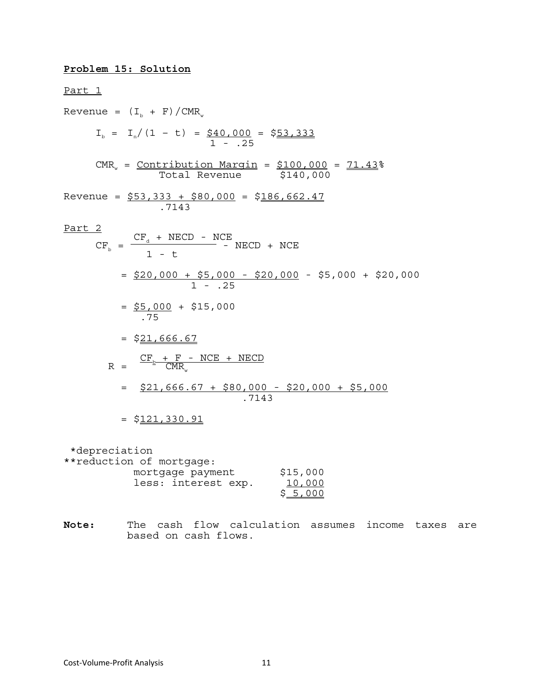## **Problem 15: Solution**

Part 1 Revenue =  $(I_b + F)/CMR_w$  $I_b = I_n/(1 - t) = $40,000 = $53,333$  $1 - .25$  $CMR_w =$  Contribution Margin =  $$100,000 = 71.43$ Total Revenue \$140,000 Revenue =  $$53,333 + $80,000 = $186,662.47$  .7143 Part 2  $CF<sub>d</sub> + NECD - NCE$  $CF_b = \frac{1 - 1 + 1 + 1}{1 - t}$  - NECD + NCE = \$20,000 + \$5,000 - \$20,000 - \$5,000 + \$20,000 1 - .25  $=$   $$5,000 + $15,000$  .75  $=$  \$21,666.67  $CF_{p} + F - NCE + NECD$  $R = \frac{p}{2} \cdot \text{CMR}_{w}$  = \$21,666.67 + \$80,000 - \$20,000 + \$5,000 .7143  $= $121,330.91$ \*depreciation

| **reduction of mortgage: |          |
|--------------------------|----------|
| mortgage payment         | \$15,000 |
| less: interest exp.      | 10,000   |
|                          | \$5,000  |

**Note:** The cash flow calculation assumes income taxes are based on cash flows.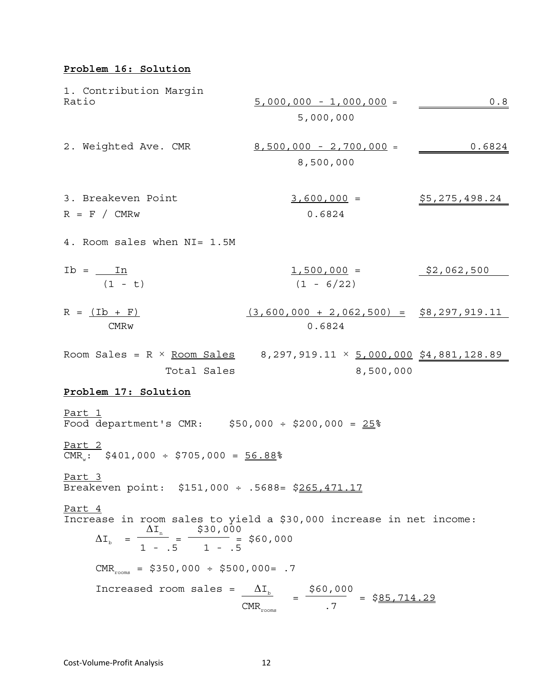# **Problem 16: Solution**

1. Contribution Margin Ratio 5,000,000 - 1,000,000 = 0.8 5,000,000 2. Weighted Ave. CMR 8,500,000 - 2,700,000 = 0.6824 8,500,000 3. Breakeven Point 3,600,000 = \$5,275,498.24 R = F / CMRw 0.6824 4. Room sales when NI= 1.5M Ib = In 1,500,000 = \$2,062,500 (1 - t) (1 - 6/22) R = (Ib + F) (3,600,000 + 2,062,500) = \$8,297,919.11 CMRw 0.6824 Room Sales = R × Room Sales 8,297,919.11 × 5,000,000 \$4,881,128.89 Total Sales 8,500,000 **Problem 17: Solution** Part 1 Food department's CMR: \$50,000 ÷ \$200,000 = 25% Part 2 CMRw: \$401,000 ÷ \$705,000 = 56.88% Part 3 Breakeven point: \$151,000 ÷ .5688= \$265,471.17 Part 4 Increase in room sales to yield a \$30,000 increase in net income: ΔIn \$30,000 ΔIb = = = \$60,000 1 - .5 1 - .5 CMRrooms = \$350,000 ÷ \$500,000= .7 Increased room sales = <sup>Δ</sup>Ib \$60,000 = = \$85,714.29 CMRrooms .7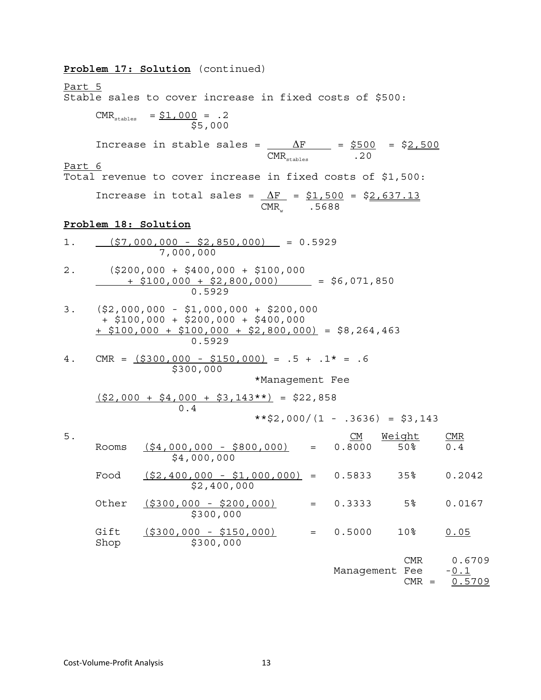|               |              | Problem 17: Solution (continued)                                                                                                                                   |             |                 |     |                                |                |                |                            |
|---------------|--------------|--------------------------------------------------------------------------------------------------------------------------------------------------------------------|-------------|-----------------|-----|--------------------------------|----------------|----------------|----------------------------|
| <u>Part 5</u> |              | Stable sales to cover increase in fixed costs of \$500:                                                                                                            |             |                 |     |                                |                |                |                            |
|               |              | $CMR_{\text{stables}} = \frac{\xi 1,000}{\xi 5,000} = .2$                                                                                                          |             |                 |     |                                |                |                |                            |
|               |              | Increase in stable sales = $\frac{\Delta F}{\text{CMR}_{\text{stable}}}$ = $\frac{\text{5500}}{\text{.20}}$ = $\frac{\text{52,500}}{\text{.20}}$                   |             |                 |     |                                |                |                |                            |
| Part 6        |              | Total revenue to cover increase in fixed costs of \$1,500:                                                                                                         |             |                 |     |                                |                |                |                            |
|               |              | Increase in total sales = $\Delta F$ = $$1,500$ = \$2,637.13                                                                                                       |             | $CMRw$ . 5688   |     |                                |                |                |                            |
|               |              | Problem 18: Solution                                                                                                                                               |             |                 |     |                                |                |                |                            |
| 1.            |              | $(57,000,000 - 52,850,000) = 0.5929$<br>7,000,000                                                                                                                  |             |                 |     |                                |                |                |                            |
| 2.            |              | $(\$200,000 + \$400,000 + \$100,000$<br>$\frac{1650}{100,000}$ + \$2,800,000) = \$6,071,850                                                                        |             |                 |     |                                |                |                |                            |
|               |              | $3.$ $(52,000,000 - 51,000,000 + 5200,000)$<br>$+$ \$100,000 + \$200,000 + \$400,000<br>$\frac{1}{2}$ \$100,000 + \$100,000 + \$2,800,000) = \$8,264,463<br>0.5929 |             |                 |     |                                |                |                |                            |
| 4.            |              | CMR = $( $300,000 - $150,000) = .5 + .1* = .6$<br>\$300,000                                                                                                        |             |                 |     |                                |                |                |                            |
|               |              |                                                                                                                                                                    |             | *Management Fee |     |                                |                |                |                            |
|               |              | $\frac{(\$2,000 + \$4,000 + \$3,143**)}{0.4} = \$22,858$                                                                                                           |             |                 |     | $**2,000/(1 - .3636) = $3,143$ |                |                |                            |
| 5.            |              |                                                                                                                                                                    |             |                 |     | <u>CM Weight</u>               |                |                | CMR                        |
|               | Rooms        | $( $4,000,000 - $800,000 )$ = 0.8000 50%<br>\$4,000,000                                                                                                            |             |                 |     |                                |                |                | 0.4                        |
|               | Food         | $( $2,400,000 - $1,000,000 ) =$                                                                                                                                    | \$2,400,000 |                 |     | 0.5833                         | 35%            |                | 0.2042                     |
|               | Other        | $( $300,000 - $200,000)$                                                                                                                                           | \$300,000   |                 | $=$ | 0.3333                         | 5 <sup>°</sup> |                | 0.0167                     |
|               | Gift<br>Shop | $( $300,000 - $150,000)$                                                                                                                                           | \$300,000   |                 | $=$ | 0.5000                         | 10%            |                | 0.05                       |
|               |              |                                                                                                                                                                    |             |                 |     | Management Fee                 |                | CMR<br>$CMR =$ | 0.6709<br>$-0.1$<br>0.5709 |